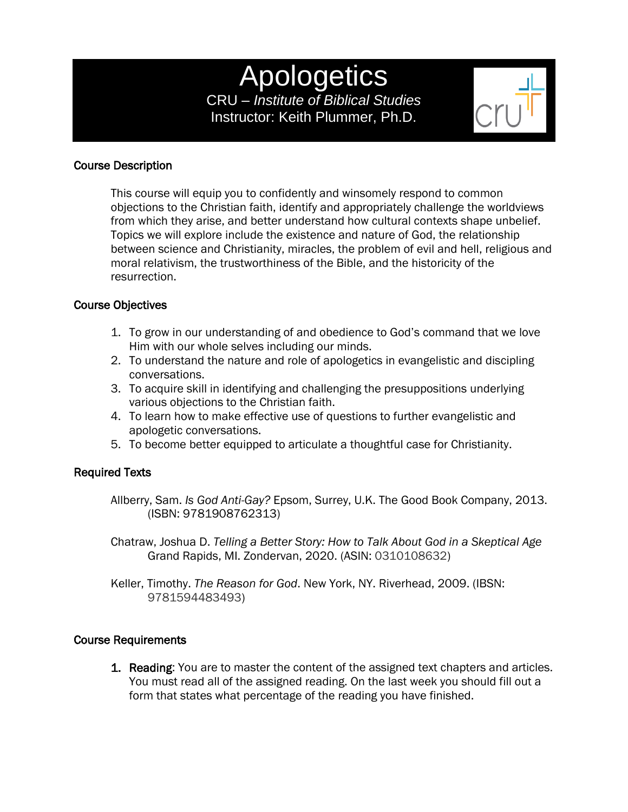# Apologetics CRU – *Institute of Biblical Studies* Instructor: Keith Plummer, Ph.D.



## Course Description

This course will equip you to confidently and winsomely respond to common objections to the Christian faith, identify and appropriately challenge the worldviews from which they arise, and better understand how cultural contexts shape unbelief. Topics we will explore include the existence and nature of God, the relationship between science and Christianity, miracles, the problem of evil and hell, religious and moral relativism, the trustworthiness of the Bible, and the historicity of the resurrection.

## Course Objectives

- 1. To grow in our understanding of and obedience to God's command that we love Him with our whole selves including our minds.
- 2. To understand the nature and role of apologetics in evangelistic and discipling conversations.
- 3. To acquire skill in identifying and challenging the presuppositions underlying various objections to the Christian faith.
- 4. To learn how to make effective use of questions to further evangelistic and apologetic conversations.
- 5. To become better equipped to articulate a thoughtful case for Christianity.

## Required Texts

Allberry, Sam. *Is God Anti-Gay?* Epsom, Surrey, U.K. The Good Book Company, 2013. (ISBN: 9781908762313)

- Chatraw, Joshua D. *Telling a Better Story: How to Talk About God in a Skeptical Age*  Grand Rapids, MI. Zondervan, 2020. (ASIN: 0310108632)
- Keller, Timothy. *The Reason for God*. New York, NY. Riverhead, 2009. (IBSN: 9781594483493)

## Course Requirements

**1. Reading:** You are to master the content of the assigned text chapters and articles. You must read all of the assigned reading. On the last week you should fill out a form that states what percentage of the reading you have finished.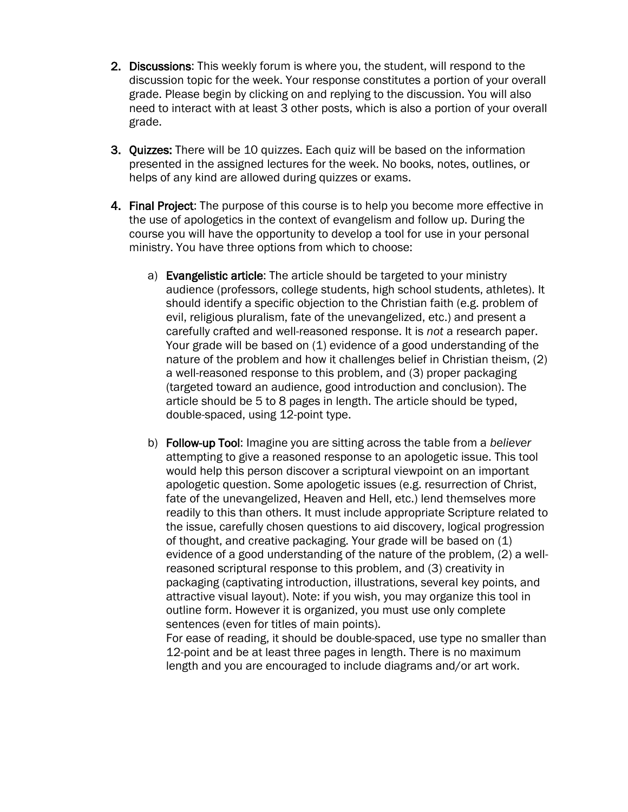- 2. Discussions: This weekly forum is where you, the student, will respond to the discussion topic for the week. Your response constitutes a portion of your overall grade. Please begin by clicking on and replying to the discussion. You will also need to interact with at least 3 other posts, which is also a portion of your overall grade.
- 3. Quizzes: There will be 10 quizzes. Each quiz will be based on the information presented in the assigned lectures for the week. No books, notes, outlines, or helps of any kind are allowed during quizzes or exams.
- 4. Final Project: The purpose of this course is to help you become more effective in the use of apologetics in the context of evangelism and follow up. During the course you will have the opportunity to develop a tool for use in your personal ministry. You have three options from which to choose:
	- a) Evangelistic article: The article should be targeted to your ministry audience (professors, college students, high school students, athletes). It should identify a specific objection to the Christian faith (e.g. problem of evil, religious pluralism, fate of the unevangelized, etc.) and present a carefully crafted and well-reasoned response. It is *not* a research paper. Your grade will be based on (1) evidence of a good understanding of the nature of the problem and how it challenges belief in Christian theism, (2) a well-reasoned response to this problem, and (3) proper packaging (targeted toward an audience, good introduction and conclusion). The article should be 5 to 8 pages in length. The article should be typed, double-spaced, using 12-point type.
	- b) Follow-up Tool: Imagine you are sitting across the table from a *believer*  attempting to give a reasoned response to an apologetic issue. This tool would help this person discover a scriptural viewpoint on an important apologetic question. Some apologetic issues (e.g. resurrection of Christ, fate of the unevangelized, Heaven and Hell, etc.) lend themselves more readily to this than others. It must include appropriate Scripture related to the issue, carefully chosen questions to aid discovery, logical progression of thought, and creative packaging. Your grade will be based on (1) evidence of a good understanding of the nature of the problem, (2) a wellreasoned scriptural response to this problem, and (3) creativity in packaging (captivating introduction, illustrations, several key points, and attractive visual layout). Note: if you wish, you may organize this tool in outline form. However it is organized, you must use only complete sentences (even for titles of main points).

For ease of reading, it should be double-spaced, use type no smaller than 12-point and be at least three pages in length. There is no maximum length and you are encouraged to include diagrams and/or art work.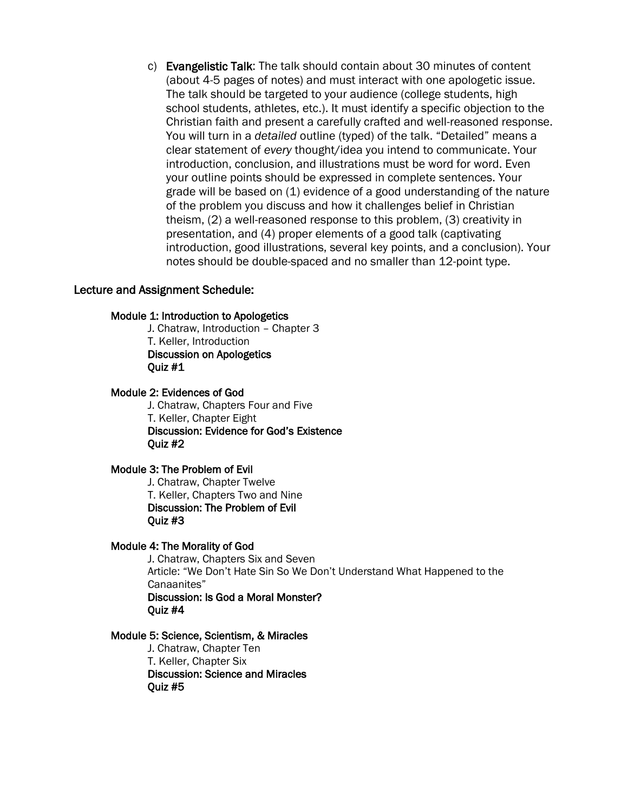c) Evangelistic Talk: The talk should contain about 30 minutes of content (about 4-5 pages of notes) and must interact with one apologetic issue. The talk should be targeted to your audience (college students, high school students, athletes, etc.). It must identify a specific objection to the Christian faith and present a carefully crafted and well-reasoned response. You will turn in a *detailed* outline (typed) of the talk. "Detailed" means a clear statement of *every* thought/idea you intend to communicate. Your introduction, conclusion, and illustrations must be word for word. Even your outline points should be expressed in complete sentences. Your grade will be based on (1) evidence of a good understanding of the nature of the problem you discuss and how it challenges belief in Christian theism, (2) a well-reasoned response to this problem, (3) creativity in presentation, and (4) proper elements of a good talk (captivating introduction, good illustrations, several key points, and a conclusion). Your notes should be double-spaced and no smaller than 12-point type.

#### Lecture and Assignment Schedule:

#### Module 1: Introduction to Apologetics

 J. Chatraw, Introduction – Chapter 3 T. Keller, Introduction Discussion on Apologetics Quiz #1

#### Module 2: Evidences of God

 J. Chatraw, Chapters Four and Five T. Keller, Chapter Eight Discussion: Evidence for God's Existence Quiz #2

#### Module 3: The Problem of Evil

 J. Chatraw, Chapter Twelve T. Keller, Chapters Two and Nine Discussion: The Problem of Evil Quiz #3

#### Module 4: The Morality of God

J. Chatraw, Chapters Six and Seven Article: "We Don't Hate Sin So We Don't Understand What Happened to the Canaanites" Discussion: Is God a Moral Monster? Quiz #4

#### Module 5: Science, Scientism, & Miracles

J. Chatraw, Chapter Ten T. Keller, Chapter Six Discussion: Science and Miracles Quiz #5